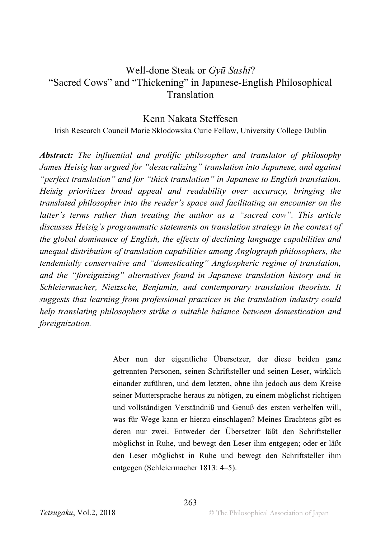# Well-done Steak or *Gyū Sashi*? "Sacred Cows" and "Thickening" in Japanese-English Philosophical Translation

#### Kenn Nakata Steffesen

Irish Research Council Marie Sklodowska Curie Fellow, University College Dublin

*Abstract: The influential and prolific philosopher and translator of philosophy James Heisig has argued for "desacralizing" translation into Japanese, and against "perfect translation" and for "thick translation" in Japanese to English translation. Heisig prioritizes broad appeal and readability over accuracy, bringing the translated philosopher into the reader's space and facilitating an encounter on the latter's terms rather than treating the author as a "sacred cow". This article discusses Heisig's programmatic statements on translation strategy in the context of the global dominance of English, the effects of declining language capabilities and unequal distribution of translation capabilities among Anglograph philosophers, the tendentially conservative and "domesticating" Anglospheric regime of translation, and the "foreignizing" alternatives found in Japanese translation history and in Schleiermacher, Nietzsche, Benjamin, and contemporary translation theorists. It suggests that learning from professional practices in the translation industry could help translating philosophers strike a suitable balance between domestication and foreignization.* 

> Aber nun der eigentliche Übersetzer, der diese beiden ganz getrennten Personen, seinen Schriftsteller und seinen Leser, wirklich einander zuführen, und dem letzten, ohne ihn jedoch aus dem Kreise seiner Muttersprache heraus zu nötigen, zu einem möglichst richtigen und vollständigen Verständniß und Genuß des ersten verhelfen will, was für Wege kann er hierzu einschlagen? Meines Erachtens gibt es deren nur zwei. Entweder der Übersetzer läßt den Schriftsteller möglichst in Ruhe, und bewegt den Leser ihm entgegen; oder er läßt den Leser möglichst in Ruhe und bewegt den Schriftsteller ihm entgegen (Schleiermacher 1813: 4–5).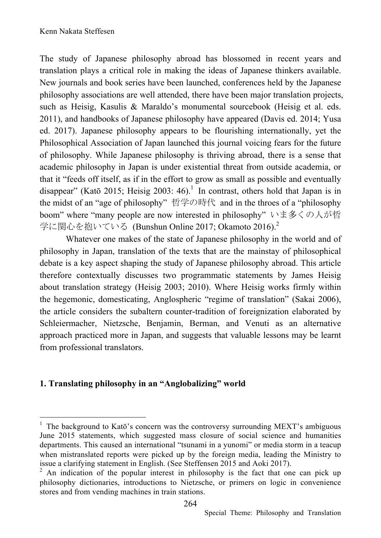The study of Japanese philosophy abroad has blossomed in recent years and translation plays a critical role in making the ideas of Japanese thinkers available. New journals and book series have been launched, conferences held by the Japanese philosophy associations are well attended, there have been major translation projects, such as Heisig, Kasulis & Maraldo's monumental sourcebook (Heisig et al. eds. 2011), and handbooks of Japanese philosophy have appeared (Davis ed. 2014; Yusa ed. 2017). Japanese philosophy appears to be flourishing internationally, yet the Philosophical Association of Japan launched this journal voicing fears for the future of philosophy. While Japanese philosophy is thriving abroad, there is a sense that academic philosophy in Japan is under existential threat from outside academia, or that it "feeds off itself, as if in the effort to grow as small as possible and eventually disappear" (Katō 2015; Heisig 2003:  $46$ ).<sup>1</sup> In contrast, others hold that Japan is in the midst of an "age of philosophy" 哲学の時代 and in the throes of a "philosophy boom" where "many people are now interested in philosophy" いま多くの人が哲 学に関心を抱いている (Bunshun Online 2017; Okamoto 2016).<sup>2</sup>

Whatever one makes of the state of Japanese philosophy in the world and of philosophy in Japan, translation of the texts that are the mainstay of philosophical debate is a key aspect shaping the study of Japanese philosophy abroad. This article therefore contextually discusses two programmatic statements by James Heisig about translation strategy (Heisig 2003; 2010). Where Heisig works firmly within the hegemonic, domesticating, Anglospheric "regime of translation" (Sakai 2006), the article considers the subaltern counter-tradition of foreignization elaborated by Schleiermacher, Nietzsche, Benjamin, Berman, and Venuti as an alternative approach practiced more in Japan, and suggests that valuable lessons may be learnt from professional translators.

## **1. Translating philosophy in an "Anglobalizing" world**

 <sup>1</sup> The background to Katō's concern was the controversy surrounding MEXT's ambiguous June 2015 statements, which suggested mass closure of social science and humanities departments. This caused an international "tsunami in a yunomi" or media storm in a teacup when mistranslated reports were picked up by the foreign media, leading the Ministry to issue a clarifying statement in English. (See Steffensen 2015 and Aoki 2017).

 $2$  An indication of the popular interest in philosophy is the fact that one can pick up philosophy dictionaries, introductions to Nietzsche, or primers on logic in convenience stores and from vending machines in train stations.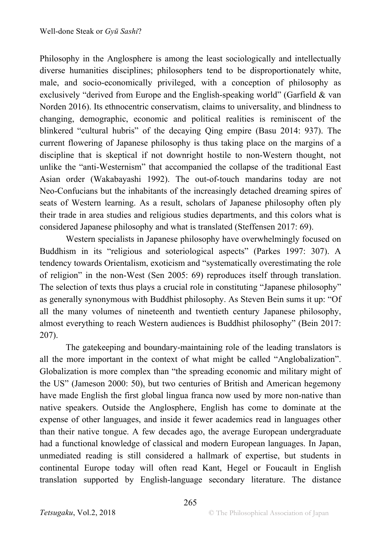Philosophy in the Anglosphere is among the least sociologically and intellectually diverse humanities disciplines; philosophers tend to be disproportionately white, male, and socio-economically privileged, with a conception of philosophy as exclusively "derived from Europe and the English-speaking world" (Garfield & van Norden 2016). Its ethnocentric conservatism, claims to universality, and blindness to changing, demographic, economic and political realities is reminiscent of the blinkered "cultural hubris" of the decaying Qing empire (Basu 2014: 937). The current flowering of Japanese philosophy is thus taking place on the margins of a discipline that is skeptical if not downright hostile to non-Western thought, not unlike the "anti-Westernism" that accompanied the collapse of the traditional East Asian order (Wakabayashi 1992). The out-of-touch mandarins today are not Neo-Confucians but the inhabitants of the increasingly detached dreaming spires of seats of Western learning. As a result, scholars of Japanese philosophy often ply their trade in area studies and religious studies departments, and this colors what is considered Japanese philosophy and what is translated (Steffensen 2017: 69).

Western specialists in Japanese philosophy have overwhelmingly focused on Buddhism in its "religious and soteriological aspects" (Parkes 1997: 307). A tendency towards Orientalism, exoticism and "systematically overestimating the role of religion" in the non-West (Sen 2005: 69) reproduces itself through translation. The selection of texts thus plays a crucial role in constituting "Japanese philosophy" as generally synonymous with Buddhist philosophy. As Steven Bein sums it up: "Of all the many volumes of nineteenth and twentieth century Japanese philosophy, almost everything to reach Western audiences is Buddhist philosophy" (Bein 2017: 207).

The gatekeeping and boundary-maintaining role of the leading translators is all the more important in the context of what might be called "Anglobalization". Globalization is more complex than "the spreading economic and military might of the US" (Jameson 2000: 50), but two centuries of British and American hegemony have made English the first global lingua franca now used by more non-native than native speakers. Outside the Anglosphere, English has come to dominate at the expense of other languages, and inside it fewer academics read in languages other than their native tongue. A few decades ago, the average European undergraduate had a functional knowledge of classical and modern European languages. In Japan, unmediated reading is still considered a hallmark of expertise, but students in continental Europe today will often read Kant, Hegel or Foucault in English translation supported by English-language secondary literature. The distance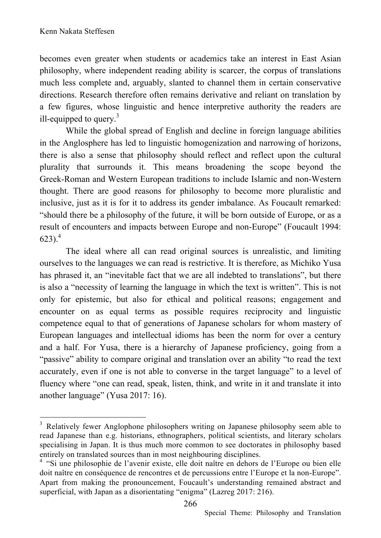becomes even greater when students or academics take an interest in East Asian philosophy, where independent reading ability is scarcer, the corpus of translations much less complete and, arguably, slanted to channel them in certain conservative directions. Research therefore often remains derivative and reliant on translation by a few figures, whose linguistic and hence interpretive authority the readers are ill-equipped to query. $3$ 

While the global spread of English and decline in foreign language abilities in the Anglosphere has led to linguistic homogenization and narrowing of horizons, there is also a sense that philosophy should reflect and reflect upon the cultural plurality that surrounds it. This means broadening the scope beyond the Greek-Roman and Western European traditions to include Islamic and non-Western thought. There are good reasons for philosophy to become more pluralistic and inclusive, just as it is for it to address its gender imbalance. As Foucault remarked: "should there be a philosophy of the future, it will be born outside of Europe, or as a result of encounters and impacts between Europe and non-Europe" (Foucault 1994:  $623$ ).<sup>4</sup>

The ideal where all can read original sources is unrealistic, and limiting ourselves to the languages we can read is restrictive. It is therefore, as Michiko Yusa has phrased it, an "inevitable fact that we are all indebted to translations", but there is also a "necessity of learning the language in which the text is written". This is not only for epistemic, but also for ethical and political reasons; engagement and encounter on as equal terms as possible requires reciprocity and linguistic competence equal to that of generations of Japanese scholars for whom mastery of European languages and intellectual idioms has been the norm for over a century and a half. For Yusa, there is a hierarchy of Japanese proficiency, going from a "passive" ability to compare original and translation over an ability "to read the text accurately, even if one is not able to converse in the target language" to a level of fluency where "one can read, speak, listen, think, and write in it and translate it into another language" (Yusa 2017: 16).

<sup>&</sup>lt;sup>3</sup> Relatively fewer Anglophone philosophers writing on Japanese philosophy seem able to read Japanese than e.g. historians, ethnographers, political scientists, and literary scholars specialising in Japan. It is thus much more common to see doctorates in philosophy based entirely on translated sources than in most neighbouring disciplines.

<sup>&</sup>lt;sup>4</sup> "Si une philosophie de l'avenir existe, elle doit naître en dehors de l'Europe ou bien elle doit naître en conséquence de rencontres et de percussions entre l'Europe et la non-Europe". Apart from making the pronouncement, Foucault's understanding remained abstract and superficial, with Japan as a disorientating "enigma" (Lazreg 2017: 216).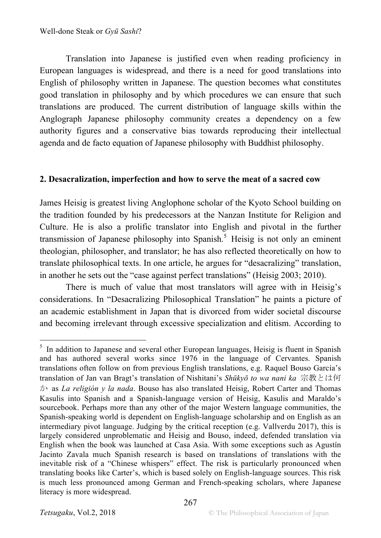Translation into Japanese is justified even when reading proficiency in European languages is widespread, and there is a need for good translations into English of philosophy written in Japanese. The question becomes what constitutes good translation in philosophy and by which procedures we can ensure that such translations are produced. The current distribution of language skills within the Anglograph Japanese philosophy community creates a dependency on a few authority figures and a conservative bias towards reproducing their intellectual agenda and de facto equation of Japanese philosophy with Buddhist philosophy.

#### **2. Desacralization, imperfection and how to serve the meat of a sacred cow**

James Heisig is greatest living Anglophone scholar of the Kyoto School building on the tradition founded by his predecessors at the Nanzan Institute for Religion and Culture. He is also a prolific translator into English and pivotal in the further transmission of Japanese philosophy into Spanish.<sup>5</sup> Heisig is not only an eminent theologian, philosopher, and translator; he has also reflected theoretically on how to translate philosophical texts. In one article, he argues for "desacralizing" translation, in another he sets out the "case against perfect translations" (Heisig 2003; 2010).

There is much of value that most translators will agree with in Heisig's considerations. In "Desacralizing Philosophical Translation" he paints a picture of an academic establishment in Japan that is divorced from wider societal discourse and becoming irrelevant through excessive specialization and elitism. According to

<sup>&</sup>lt;sup>5</sup> In addition to Japanese and several other European languages, Heisig is fluent in Spanish and has authored several works since 1976 in the language of Cervantes. Spanish translations often follow on from previous English translations, e.g. Raquel Bouso García's translation of Jan van Bragt's translation of Nishitani's *Shūkyō to wa nani ka* 宗教とは何 か as *La religión y la nada*. Bouso has also translated Heisig, Robert Carter and Thomas Kasulis into Spanish and a Spanish-language version of Heisig, Kasulis and Maraldo's sourcebook. Perhaps more than any other of the major Western language communities, the Spanish-speaking world is dependent on English-language scholarship and on English as an intermediary pivot language. Judging by the critical reception (e.g. Vallverdu 2017), this is largely considered unproblematic and Heisig and Bouso, indeed, defended translation via English when the book was launched at Casa Asia. With some exceptions such as Agustín Jacinto Zavala much Spanish research is based on translations of translations with the inevitable risk of a "Chinese whispers" effect. The risk is particularly pronounced when translating books like Carter's, which is based solely on English-language sources. This risk is much less pronounced among German and French-speaking scholars, where Japanese literacy is more widespread.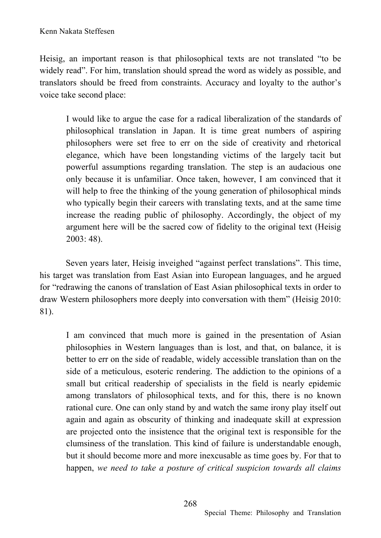Heisig, an important reason is that philosophical texts are not translated "to be widely read". For him, translation should spread the word as widely as possible, and translators should be freed from constraints. Accuracy and loyalty to the author's voice take second place:

I would like to argue the case for a radical liberalization of the standards of philosophical translation in Japan. It is time great numbers of aspiring philosophers were set free to err on the side of creativity and rhetorical elegance, which have been longstanding victims of the largely tacit but powerful assumptions regarding translation. The step is an audacious one only because it is unfamiliar. Once taken, however, I am convinced that it will help to free the thinking of the young generation of philosophical minds who typically begin their careers with translating texts, and at the same time increase the reading public of philosophy. Accordingly, the object of my argument here will be the sacred cow of fidelity to the original text (Heisig 2003: 48).

Seven years later, Heisig inveighed "against perfect translations". This time, his target was translation from East Asian into European languages, and he argued for "redrawing the canons of translation of East Asian philosophical texts in order to draw Western philosophers more deeply into conversation with them" (Heisig 2010: 81).

I am convinced that much more is gained in the presentation of Asian philosophies in Western languages than is lost, and that, on balance, it is better to err on the side of readable, widely accessible translation than on the side of a meticulous, esoteric rendering. The addiction to the opinions of a small but critical readership of specialists in the field is nearly epidemic among translators of philosophical texts, and for this, there is no known rational cure. One can only stand by and watch the same irony play itself out again and again as obscurity of thinking and inadequate skill at expression are projected onto the insistence that the original text is responsible for the clumsiness of the translation. This kind of failure is understandable enough, but it should become more and more inexcusable as time goes by. For that to happen, *we need to take a posture of critical suspicion towards all claims*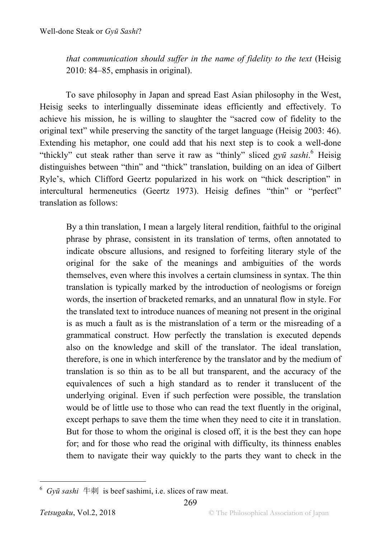*that communication should suffer in the name of fidelity to the text* (Heisig 2010: 84–85, emphasis in original).

To save philosophy in Japan and spread East Asian philosophy in the West, Heisig seeks to interlingually disseminate ideas efficiently and effectively. To achieve his mission, he is willing to slaughter the "sacred cow of fidelity to the original text" while preserving the sanctity of the target language (Heisig 2003: 46). Extending his metaphor, one could add that his next step is to cook a well-done "thickly" cut steak rather than serve it raw as "thinly" sliced *gyū sashi*. <sup>6</sup> Heisig distinguishes between "thin" and "thick" translation, building on an idea of Gilbert Ryle's, which Clifford Geertz popularized in his work on "thick description" in intercultural hermeneutics (Geertz 1973). Heisig defines "thin" or "perfect" translation as follows:

By a thin translation, I mean a largely literal rendition, faithful to the original phrase by phrase, consistent in its translation of terms, often annotated to indicate obscure allusions, and resigned to forfeiting literary style of the original for the sake of the meanings and ambiguities of the words themselves, even where this involves a certain clumsiness in syntax. The thin translation is typically marked by the introduction of neologisms or foreign words, the insertion of bracketed remarks, and an unnatural flow in style. For the translated text to introduce nuances of meaning not present in the original is as much a fault as is the mistranslation of a term or the misreading of a grammatical construct. How perfectly the translation is executed depends also on the knowledge and skill of the translator. The ideal translation, therefore, is one in which interference by the translator and by the medium of translation is so thin as to be all but transparent, and the accuracy of the equivalences of such a high standard as to render it translucent of the underlying original. Even if such perfection were possible, the translation would be of little use to those who can read the text fluently in the original, except perhaps to save them the time when they need to cite it in translation. But for those to whom the original is closed off, it is the best they can hope for; and for those who read the original with difficulty, its thinness enables them to navigate their way quickly to the parts they want to check in the

 $6$  *Gyū* sashi  $\oplus$   $\mathbb{R}$  is beef sashimi, i.e. slices of raw meat.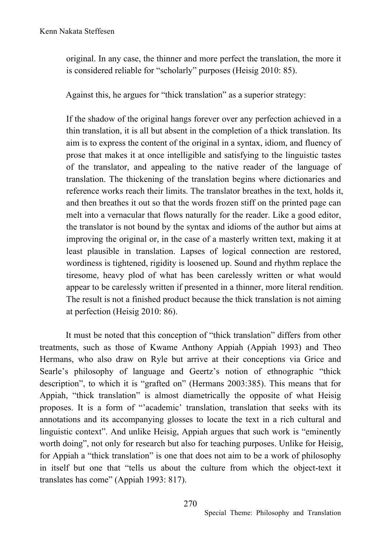original. In any case, the thinner and more perfect the translation, the more it is considered reliable for "scholarly" purposes (Heisig 2010: 85).

Against this, he argues for "thick translation" as a superior strategy:

If the shadow of the original hangs forever over any perfection achieved in a thin translation, it is all but absent in the completion of a thick translation. Its aim is to express the content of the original in a syntax, idiom, and fluency of prose that makes it at once intelligible and satisfying to the linguistic tastes of the translator, and appealing to the native reader of the language of translation. The thickening of the translation begins where dictionaries and reference works reach their limits. The translator breathes in the text, holds it, and then breathes it out so that the words frozen stiff on the printed page can melt into a vernacular that flows naturally for the reader. Like a good editor, the translator is not bound by the syntax and idioms of the author but aims at improving the original or, in the case of a masterly written text, making it at least plausible in translation. Lapses of logical connection are restored, wordiness is tightened, rigidity is loosened up. Sound and rhythm replace the tiresome, heavy plod of what has been carelessly written or what would appear to be carelessly written if presented in a thinner, more literal rendition. The result is not a finished product because the thick translation is not aiming at perfection (Heisig 2010: 86).

It must be noted that this conception of "thick translation" differs from other treatments, such as those of Kwame Anthony Appiah (Appiah 1993) and Theo Hermans, who also draw on Ryle but arrive at their conceptions via Grice and Searle's philosophy of language and Geertz's notion of ethnographic "thick description", to which it is "grafted on" (Hermans 2003:385). This means that for Appiah, "thick translation" is almost diametrically the opposite of what Heisig proposes. It is a form of "'academic' translation, translation that seeks with its annotations and its accompanying glosses to locate the text in a rich cultural and linguistic context". And unlike Heisig, Appiah argues that such work is "eminently worth doing", not only for research but also for teaching purposes. Unlike for Heisig, for Appiah a "thick translation" is one that does not aim to be a work of philosophy in itself but one that "tells us about the culture from which the object-text it translates has come" (Appiah 1993: 817).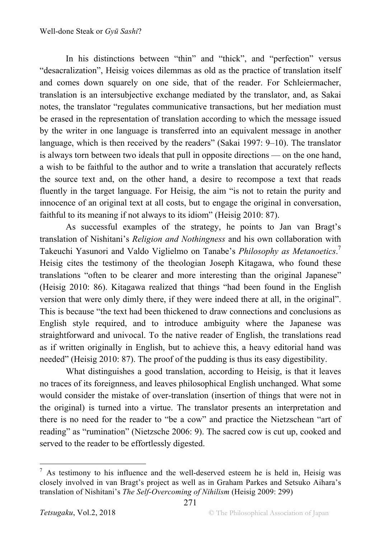In his distinctions between "thin" and "thick", and "perfection" versus "desacralization", Heisig voices dilemmas as old as the practice of translation itself and comes down squarely on one side, that of the reader. For Schleiermacher, translation is an intersubjective exchange mediated by the translator, and, as Sakai notes, the translator "regulates communicative transactions, but her mediation must be erased in the representation of translation according to which the message issued by the writer in one language is transferred into an equivalent message in another language, which is then received by the readers" (Sakai 1997: 9–10). The translator is always torn between two ideals that pull in opposite directions — on the one hand, a wish to be faithful to the author and to write a translation that accurately reflects the source text and, on the other hand, a desire to recompose a text that reads fluently in the target language. For Heisig, the aim "is not to retain the purity and innocence of an original text at all costs, but to engage the original in conversation, faithful to its meaning if not always to its idiom" (Heisig 2010: 87).

As successful examples of the strategy, he points to Jan van Bragt's translation of Nishitani's *Religion and Nothingness* and his own collaboration with Takeuchi Yasunori and Valdo Viglielmo on Tanabe's *Philosophy as Metanoetics*. 7 Heisig cites the testimony of the theologian Joseph Kitagawa, who found these translations "often to be clearer and more interesting than the original Japanese" (Heisig 2010: 86). Kitagawa realized that things "had been found in the English version that were only dimly there, if they were indeed there at all, in the original". This is because "the text had been thickened to draw connections and conclusions as English style required, and to introduce ambiguity where the Japanese was straightforward and univocal. To the native reader of English, the translations read as if written originally in English, but to achieve this, a heavy editorial hand was needed" (Heisig 2010: 87). The proof of the pudding is thus its easy digestibility.

What distinguishes a good translation, according to Heisig, is that it leaves no traces of its foreignness, and leaves philosophical English unchanged. What some would consider the mistake of over-translation (insertion of things that were not in the original) is turned into a virtue. The translator presents an interpretation and there is no need for the reader to "be a cow" and practice the Nietzschean "art of reading" as "rumination" (Nietzsche 2006: 9). The sacred cow is cut up, cooked and served to the reader to be effortlessly digested.

 $<sup>7</sup>$  As testimony to his influence and the well-deserved esteem he is held in, Heisig was</sup> closely involved in van Bragt's project as well as in Graham Parkes and Setsuko Aihara's translation of Nishitani's *The Self-Overcoming of Nihilism* (Heisig 2009: 299)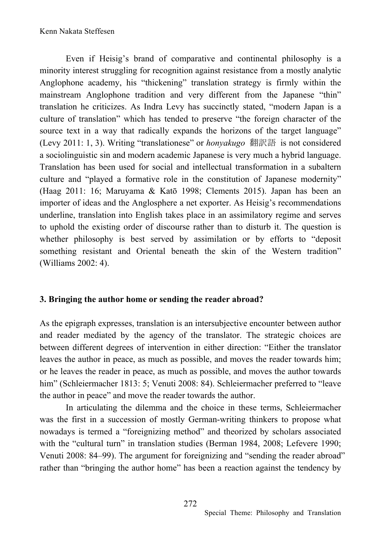Even if Heisig's brand of comparative and continental philosophy is a minority interest struggling for recognition against resistance from a mostly analytic Anglophone academy, his "thickening" translation strategy is firmly within the mainstream Anglophone tradition and very different from the Japanese "thin" translation he criticizes. As Indra Levy has succinctly stated, "modern Japan is a culture of translation" which has tended to preserve "the foreign character of the source text in a way that radically expands the horizons of the target language" (Levy 2011: 1, 3). Writing "translationese" or *honyakugo* 翻訳語 is not considered a sociolinguistic sin and modern academic Japanese is very much a hybrid language. Translation has been used for social and intellectual transformation in a subaltern culture and "played a formative role in the constitution of Japanese modernity" (Haag 2011: 16; Maruyama & Katō 1998; Clements 2015). Japan has been an importer of ideas and the Anglosphere a net exporter. As Heisig's recommendations underline, translation into English takes place in an assimilatory regime and serves to uphold the existing order of discourse rather than to disturb it. The question is whether philosophy is best served by assimilation or by efforts to "deposit something resistant and Oriental beneath the skin of the Western tradition" (Williams 2002: 4).

#### **3. Bringing the author home or sending the reader abroad?**

As the epigraph expresses, translation is an intersubjective encounter between author and reader mediated by the agency of the translator. The strategic choices are between different degrees of intervention in either direction: "Either the translator leaves the author in peace, as much as possible, and moves the reader towards him; or he leaves the reader in peace, as much as possible, and moves the author towards him" (Schleiermacher 1813: 5; Venuti 2008: 84). Schleiermacher preferred to "leave the author in peace" and move the reader towards the author.

In articulating the dilemma and the choice in these terms, Schleiermacher was the first in a succession of mostly German-writing thinkers to propose what nowadays is termed a "foreignizing method" and theorized by scholars associated with the "cultural turn" in translation studies (Berman 1984, 2008; Lefevere 1990; Venuti 2008: 84–99). The argument for foreignizing and "sending the reader abroad" rather than "bringing the author home" has been a reaction against the tendency by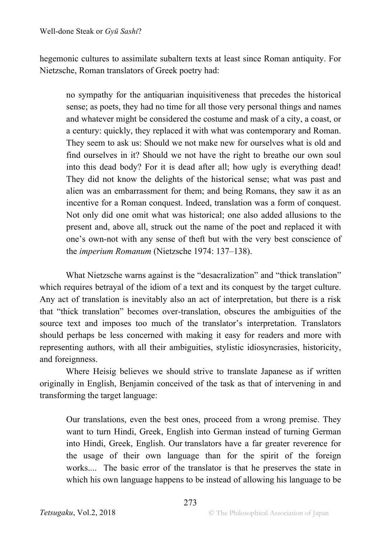hegemonic cultures to assimilate subaltern texts at least since Roman antiquity. For Nietzsche, Roman translators of Greek poetry had:

no sympathy for the antiquarian inquisitiveness that precedes the historical sense; as poets, they had no time for all those very personal things and names and whatever might be considered the costume and mask of a city, a coast, or a century: quickly, they replaced it with what was contemporary and Roman. They seem to ask us: Should we not make new for ourselves what is old and find ourselves in it? Should we not have the right to breathe our own soul into this dead body? For it is dead after all; how ugly is everything dead! They did not know the delights of the historical sense; what was past and alien was an embarrassment for them; and being Romans, they saw it as an incentive for a Roman conquest. Indeed, translation was a form of conquest. Not only did one omit what was historical; one also added allusions to the present and, above all, struck out the name of the poet and replaced it with one's own-not with any sense of theft but with the very best conscience of the *imperium Romanum* (Nietzsche 1974: 137–138).

What Nietzsche warns against is the "desacralization" and "thick translation" which requires betrayal of the idiom of a text and its conquest by the target culture. Any act of translation is inevitably also an act of interpretation, but there is a risk that "thick translation" becomes over-translation, obscures the ambiguities of the source text and imposes too much of the translator's interpretation. Translators should perhaps be less concerned with making it easy for readers and more with representing authors, with all their ambiguities, stylistic idiosyncrasies, historicity, and foreignness.

Where Heisig believes we should strive to translate Japanese as if written originally in English, Benjamin conceived of the task as that of intervening in and transforming the target language:

Our translations, even the best ones, proceed from a wrong premise. They want to turn Hindi, Greek, English into German instead of turning German into Hindi, Greek, English. Our translators have a far greater reverence for the usage of their own language than for the spirit of the foreign works.... The basic error of the translator is that he preserves the state in which his own language happens to be instead of allowing his language to be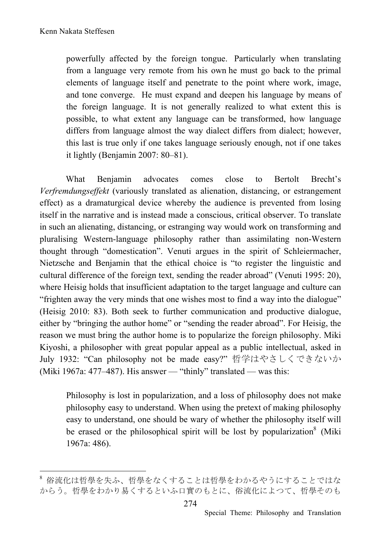powerfully affected by the foreign tongue. Particularly when translating from a language very remote from his own he must go back to the primal elements of language itself and penetrate to the point where work, image, and tone converge. He must expand and deepen his language by means of the foreign language. It is not generally realized to what extent this is possible, to what extent any language can be transformed, how language differs from language almost the way dialect differs from dialect; however, this last is true only if one takes language seriously enough, not if one takes it lightly (Benjamin 2007: 80–81).

What Benjamin advocates comes close to Bertolt Brecht's *Verfremdungseffekt* (variously translated as alienation, distancing, or estrangement effect) as a dramaturgical device whereby the audience is prevented from losing itself in the narrative and is instead made a conscious, critical observer. To translate in such an alienating, distancing, or estranging way would work on transforming and pluralising Western-language philosophy rather than assimilating non-Western thought through "domestication". Venuti argues in the spirit of Schleiermacher, Nietzsche and Benjamin that the ethical choice is "to register the linguistic and cultural difference of the foreign text, sending the reader abroad" (Venuti 1995: 20), where Heisig holds that insufficient adaptation to the target language and culture can "frighten away the very minds that one wishes most to find a way into the dialogue" (Heisig 2010: 83). Both seek to further communication and productive dialogue, either by "bringing the author home" or "sending the reader abroad". For Heisig, the reason we must bring the author home is to popularize the foreign philosophy. Miki Kiyoshi, a philosopher with great popular appeal as a public intellectual, asked in July 1932: "Can philosophy not be made easy?" 哲学はやさしくできないか (Miki 1967a: 477–487). His answer — "thinly" translated — was this:

Philosophy is lost in popularization, and a loss of philosophy does not make philosophy easy to understand. When using the pretext of making philosophy easy to understand, one should be wary of whether the philosophy itself will be erased or the philosophical spirit will be lost by popularization<sup>8</sup> (Miki) 1967a: 486).

 <sup>8</sup> 俗流化は哲學を失ふ、哲學をなくすることは哲學をわかるやうにすることではな からう。哲學をわかり易くするといふ口實のもとに、俗流化によつて、哲學そのも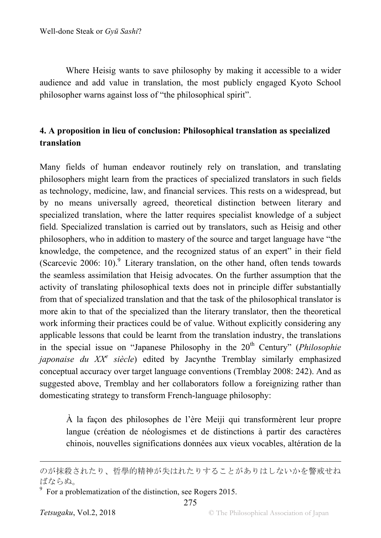Where Heisig wants to save philosophy by making it accessible to a wider audience and add value in translation, the most publicly engaged Kyoto School philosopher warns against loss of "the philosophical spirit".

### **4. A proposition in lieu of conclusion: Philosophical translation as specialized translation**

Many fields of human endeavor routinely rely on translation, and translating philosophers might learn from the practices of specialized translators in such fields as technology, medicine, law, and financial services. This rests on a widespread, but by no means universally agreed, theoretical distinction between literary and specialized translation, where the latter requires specialist knowledge of a subject field. Specialized translation is carried out by translators, such as Heisig and other philosophers, who in addition to mastery of the source and target language have "the knowledge, the competence, and the recognized status of an expert" in their field (Scarcevic 2006: 10).<sup>9</sup> Literary translation, on the other hand, often tends towards the seamless assimilation that Heisig advocates. On the further assumption that the activity of translating philosophical texts does not in principle differ substantially from that of specialized translation and that the task of the philosophical translator is more akin to that of the specialized than the literary translator, then the theoretical work informing their practices could be of value. Without explicitly considering any applicable lessons that could be learnt from the translation industry, the translations in the special issue on "Japanese Philosophy in the 20<sup>th</sup> Century" (*Philosophie japonaise du XXe siècle*) edited by Jacynthe Tremblay similarly emphasized conceptual accuracy over target language conventions (Tremblay 2008: 242). And as suggested above, Tremblay and her collaborators follow a foreignizing rather than domesticating strategy to transform French-language philosophy:

À la façon des philosophes de l'ère Meiji qui transformèrent leur propre langue (création de néologismes et de distinctions à partir des caractères chinois, nouvelles significations données aux vieux vocables, altération de la

275

 $\overline{a}$ 

のが抹殺されたり、哲學的精神が失はれたりすることがありはしないかを警戒せね ばならぬ。

 $9\text{ }$  For a problematization of the distinction, see Rogers 2015.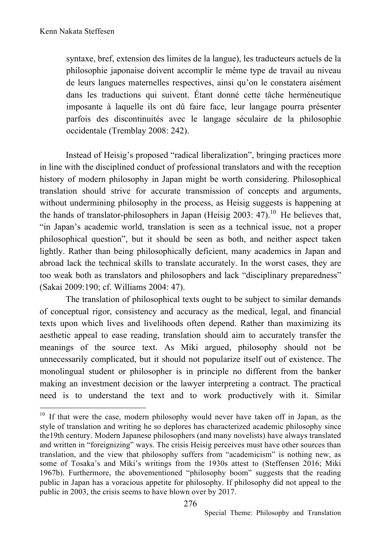syntaxe, bref, extension des limites de la langue), les traducteurs actuels de la philosophie japonaise doivent accomplir le même type de travail au niveau de leurs langues maternelles respectives, ainsi qu'on le constatera aisément dans les traductions qui suivent. Étant donné cette tâche herméneutique imposante à laquelle ils ont dû faire face, leur langage pourra présenter parfois des discontinuités avec le langage séculaire de la philosophie occidentale (Tremblay 2008: 242).

Instead of Heisig's proposed "radical liberalization", bringing practices more in line with the disciplined conduct of professional translators and with the reception history of modern philosophy in Japan might be worth considering. Philosophical translation should strive for accurate transmission of concepts and arguments, without undermining philosophy in the process, as Heisig suggests is happening at the hands of translator-philosophers in Japan (Heisig 2003: 47).<sup>10</sup> He believes that, "in Japan's academic world, translation is seen as a technical issue, not a proper philosophical question", but it should be seen as both, and neither aspect taken lightly. Rather than being philosophically deficient, many academics in Japan and abroad lack the technical skills to translate accurately. In the worst cases, they are too weak both as translators and philosophers and lack "disciplinary preparedness" (Sakai 2009:190; cf. Williams 2004: 47).

The translation of philosophical texts ought to be subject to similar demands of conceptual rigor, consistency and accuracy as the medical, legal, and financial texts upon which lives and livelihoods often depend. Rather than maximizing its aesthetic appeal to ease reading, translation should aim to accurately transfer the meanings of the source text. As Miki argued, philosophy should not be unnecessarily complicated, but it should not popularize itself out of existence. The monolingual student or philosopher is in principle no different from the banker making an investment decision or the lawyer interpreting a contract. The practical need is to understand the text and to work productively with it. Similar

<sup>&</sup>lt;sup>10</sup> If that were the case, modern philosophy would never have taken off in Japan, as the style of translation and writing he so deplores has characterized academic philosophy since the19th century. Modern Japanese philosophers (and many novelists) have always translated and written in "foreignizing" ways. The crisis Heisig perceives must have other sources than translation, and the view that philosophy suffers from "academicism" is nothing new, as some of Tosaka's and Miki's writings from the 1930s attest to (Steffensen 2016; Miki 1967b). Furthermore, the abovementioned "philosophy boom" suggests that the reading public in Japan has a voracious appetite for philosophy. If philosophy did not appeal to the public in 2003, the crisis seems to have blown over by 2017.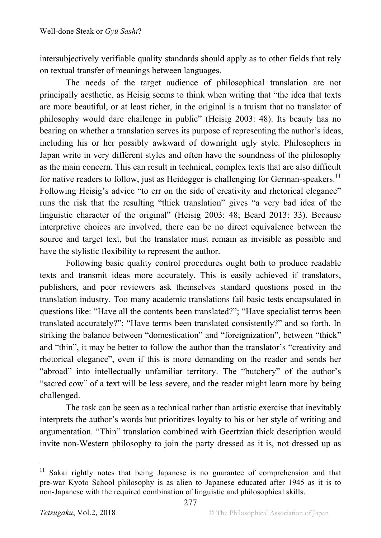intersubjectively verifiable quality standards should apply as to other fields that rely on textual transfer of meanings between languages.

The needs of the target audience of philosophical translation are not principally aesthetic, as Heisig seems to think when writing that "the idea that texts are more beautiful, or at least richer, in the original is a truism that no translator of philosophy would dare challenge in public" (Heisig 2003: 48). Its beauty has no bearing on whether a translation serves its purpose of representing the author's ideas, including his or her possibly awkward of downright ugly style. Philosophers in Japan write in very different styles and often have the soundness of the philosophy as the main concern. This can result in technical, complex texts that are also difficult for native readers to follow, just as Heidegger is challenging for German-speakers.<sup>11</sup> Following Heisig's advice "to err on the side of creativity and rhetorical elegance" runs the risk that the resulting "thick translation" gives "a very bad idea of the linguistic character of the original" (Heisig 2003: 48; Beard 2013: 33). Because interpretive choices are involved, there can be no direct equivalence between the source and target text, but the translator must remain as invisible as possible and have the stylistic flexibility to represent the author.

Following basic quality control procedures ought both to produce readable texts and transmit ideas more accurately. This is easily achieved if translators, publishers, and peer reviewers ask themselves standard questions posed in the translation industry. Too many academic translations fail basic tests encapsulated in questions like: "Have all the contents been translated?"; "Have specialist terms been translated accurately?"; "Have terms been translated consistently?" and so forth. In striking the balance between "domestication" and "foreignization", between "thick" and "thin", it may be better to follow the author than the translator's "creativity and rhetorical elegance", even if this is more demanding on the reader and sends her "abroad" into intellectually unfamiliar territory. The "butchery" of the author's "sacred cow" of a text will be less severe, and the reader might learn more by being challenged.

The task can be seen as a technical rather than artistic exercise that inevitably interprets the author's words but prioritizes loyalty to his or her style of writing and argumentation. "Thin" translation combined with Geertzian thick description would invite non-Western philosophy to join the party dressed as it is, not dressed up as

Sakai rightly notes that being Japanese is no guarantee of comprehension and that pre-war Kyoto School philosophy is as alien to Japanese educated after 1945 as it is to non-Japanese with the required combination of linguistic and philosophical skills.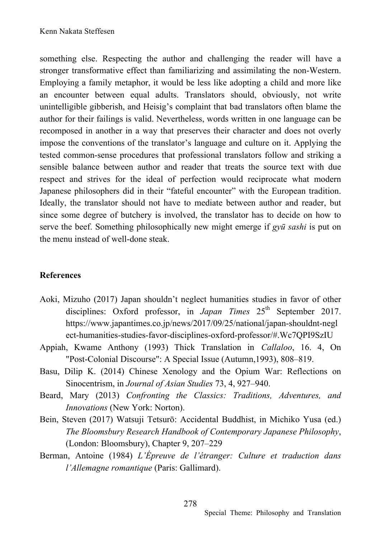something else. Respecting the author and challenging the reader will have a stronger transformative effect than familiarizing and assimilating the non-Western. Employing a family metaphor, it would be less like adopting a child and more like an encounter between equal adults. Translators should, obviously, not write unintelligible gibberish, and Heisig's complaint that bad translators often blame the author for their failings is valid. Nevertheless, words written in one language can be recomposed in another in a way that preserves their character and does not overly impose the conventions of the translator's language and culture on it. Applying the tested common-sense procedures that professional translators follow and striking a sensible balance between author and reader that treats the source text with due respect and strives for the ideal of perfection would reciprocate what modern Japanese philosophers did in their "fateful encounter" with the European tradition. Ideally, the translator should not have to mediate between author and reader, but since some degree of butchery is involved, the translator has to decide on how to serve the beef. Something philosophically new might emerge if *gyū sashi* is put on the menu instead of well-done steak.

### **References**

- Aoki, Mizuho (2017) Japan shouldn't neglect humanities studies in favor of other disciplines: Oxford professor, in *Japan Times* 25<sup>th</sup> September 2017. https://www.japantimes.co.jp/news/2017/09/25/national/japan-shouldnt-negl ect-humanities-studies-favor-disciplines-oxford-professor/#.Wc7QPI9SzIU
- Appiah, Kwame Anthony (1993) Thick Translation in *Callaloo*, 16. 4, On "Post-Colonial Discourse": A Special Issue (Autumn,1993), 808–819.
- Basu, Dilip K. (2014) Chinese Xenology and the Opium War: Reflections on Sinocentrism, in *Journal of Asian Studies* 73, 4, 927–940.
- Beard, Mary (2013) *Confronting the Classics: Traditions, Adventures, and Innovations* (New York: Norton).
- Bein, Steven (2017) Watsuji Tetsurō: Accidental Buddhist, in Michiko Yusa (ed.) *The Bloomsbury Research Handbook of Contemporary Japanese Philosophy*, (London: Bloomsbury), Chapter 9, 207–229
- Berman, Antoine (1984) *L'Épreuve de l'étranger: Culture et traduction dans l'Allemagne romantique* (Paris: Gallimard).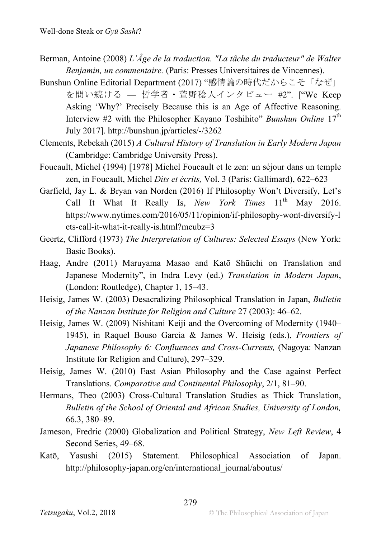- Berman, Antoine (2008) *L'Âge de la traduction. "La tâche du traducteur" de Walter Benjamin, un commentaire.* (Paris: Presses Universitaires de Vincennes).
- Bunshun Online Editorial Department (2017) "感情論の時代だからこそ「なぜ」 を問い続ける — 哲学者・萱野稔人インタビュー #2". ["We Keep Asking 'Why?' Precisely Because this is an Age of Affective Reasoning. Interview #2 with the Philosopher Kayano Toshihito" *Bunshun Online* 17<sup>th</sup> July 2017]. http://bunshun.jp/articles/-/3262
- Clements, Rebekah (2015) *A Cultural History of Translation in Early Modern Japan* (Cambridge: Cambridge University Press).
- Foucault, Michel (1994) [1978] Michel Foucault et le zen: un séjour dans un temple zen, in Foucault, Michel *Dits et écrits,* Vol. 3 (Paris: Gallimard), 622–623
- Garfield, Jay L. & Bryan van Norden (2016) If Philosophy Won't Diversify, Let's Call It What It Really Is, *New York Times* 11<sup>th</sup> May 2016. https://www.nytimes.com/2016/05/11/opinion/if-philosophy-wont-diversify-l ets-call-it-what-it-really-is.html?mcubz=3
- Geertz, Clifford (1973) *The Interpretation of Cultures: Selected Essays* (New York: Basic Books).
- Haag, Andre (2011) Maruyama Masao and Katō Shūichi on Translation and Japanese Modernity", in Indra Levy (ed.) *Translation in Modern Japan*, (London: Routledge), Chapter 1, 15–43.
- Heisig, James W. (2003) Desacralizing Philosophical Translation in Japan, *Bulletin of the Nanzan Institute for Religion and Culture* 27 (2003): 46–62.
- Heisig, James W. (2009) Nishitani Keiji and the Overcoming of Modernity (1940– 1945), in Raquel Bouso Garcia & James W. Heisig (eds.), *Frontiers of Japanese Philosophy 6: Confluences and Cross-Currents, (Nagoya: Nanzan*) Institute for Religion and Culture), 297–329.
- Heisig, James W. (2010) East Asian Philosophy and the Case against Perfect Translations. *Comparative and Continental Philosophy*, 2/1, 81–90.
- Hermans, Theo (2003) Cross-Cultural Translation Studies as Thick Translation, *Bulletin of the School of Oriental and African Studies, University of London,* 66.3, 380–89.
- Jameson, Fredric (2000) Globalization and Political Strategy, *New Left Review*, 4 Second Series, 49–68.
- Katō, Yasushi (2015) Statement. Philosophical Association of Japan. http://philosophy-japan.org/en/international\_journal/aboutus/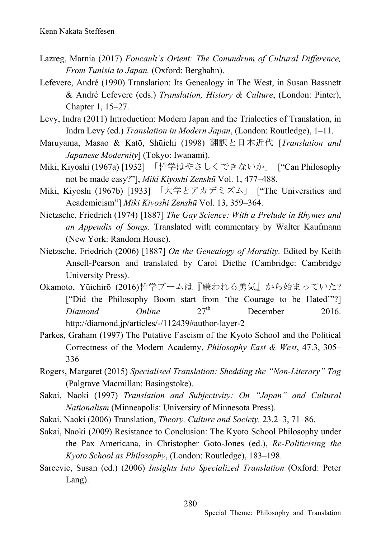- Lazreg, Marnia (2017) *Foucault's Orient: The Conundrum of Cultural Difference, From Tunisia to Japan.* (Oxford: Berghahn).
- Lefevere, André (1990) Translation: Its Genealogy in The West, in Susan Bassnett & André Lefevere (eds.) *Translation, History & Culture*, (London: Pinter), Chapter 1, 15–27.
- Levy, Indra (2011) Introduction: Modern Japan and the Trialectics of Translation, in Indra Levy (ed.) *Translation in Modern Japan*, (London: Routledge), 1–11.
- Maruyama, Masao & Katō, Shūichi (1998) 翻訳と日本近代 [*Translation and Japanese Modernity*] (Tokyo: Iwanami).
- Miki, Kiyoshi (1967a) [1932] 「哲学はやさしくできないか」 ["Can Philosophy not be made easy?"], *Miki Kiyoshi Zenshū* Vol. 1, 477–488.
- Miki, Kiyoshi (1967b) [1933] 「大学とアカデミズム」 ["The Universities and Academicism"] *Miki Kiyoshi Zenshū* Vol. 13, 359–364.
- Nietzsche, Friedrich (1974) [1887] *The Gay Science: With a Prelude in Rhymes and an Appendix of Songs.* Translated with commentary by Walter Kaufmann (New York: Random House).
- Nietzsche, Friedrich (2006) [1887] *On the Genealogy of Morality.* Edited by Keith Ansell-Pearson and translated by Carol Diethe (Cambridge: Cambridge University Press).
- Okamoto, Yūichirō (2016)哲学ブームは『嫌われる勇気』から始まっていた? ["Did the Philosophy Boom start from 'the Courage to be Hated'"?] *Diamond Online* 27<sup>th</sup> December 2016. http://diamond.jp/articles/-/112439#author-layer-2
- Parkes, Graham (1997) The Putative Fascism of the Kyoto School and the Political Correctness of the Modern Academy, *Philosophy East & West*, 47.3, 305– 336
- Rogers, Margaret (2015) *Specialised Translation: Shedding the "Non-Literary" Tag* (Palgrave Macmillan: Basingstoke).
- Sakai, Naoki (1997) *Translation and Subjectivity: On "Japan" and Cultural Nationalism* (Minneapolis: University of Minnesota Press).
- Sakai, Naoki (2006) Translation, *Theory, Culture and Society,* 23.2–3, 71–86.
- Sakai, Naoki (2009) Resistance to Conclusion: The Kyoto School Philosophy under the Pax Americana, in Christopher Goto-Jones (ed.), *Re-Politicising the Kyoto School as Philosophy*, (London: Routledge), 183–198.
- Sarcevic, Susan (ed.) (2006) *Insights Into Specialized Translation* (Oxford: Peter Lang).